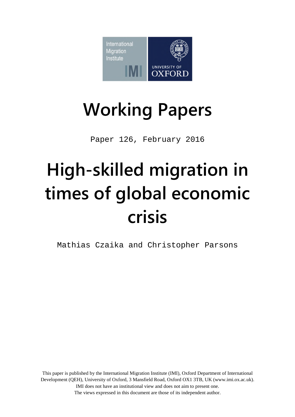

# **Working Papers**

Paper 126, February 2016

# **High-skilled migration in times of global economic crisis**

Mathias Czaika and Christopher Parsons

This paper is published by the International Migration Institute (IMI), Oxford Department of International Development (QEH), University of Oxford, 3 Mansfield Road, Oxford OX1 3TB, UK (www.imi.ox.ac.uk). IMI does not have an institutional view and does not aim to present one. The views expressed in this document are those of its independent author.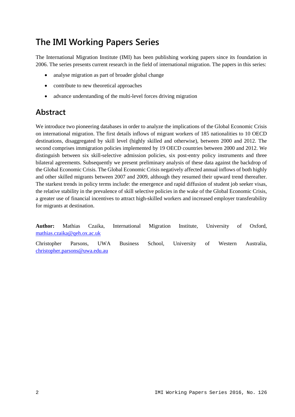# **The IMI Working Papers Series**

The International Migration Institute (IMI) has been publishing working papers since its foundation in 2006. The series presents current research in the field of international migration. The papers in this series:

- analyse migration as part of broader global change
- contribute to new theoretical approaches
- advance understanding of the multi-level forces driving migration

## **Abstract**

We introduce two pioneering databases in order to analyze the implications of the Global Economic Crisis on international migration. The first details inflows of migrant workers of 185 nationalities to 10 OECD destinations, disaggregated by skill level (highly skilled and otherwise), between 2000 and 2012. The second comprises immigration policies implemented by 19 OECD countries between 2000 and 2012. We distinguish between six skill-selective admission policies, six post-entry policy instruments and three bilateral agreements. Subsequently we present preliminary analysis of these data against the backdrop of the Global Economic Crisis. The Global Economic Crisis negatively affected annual inflows of both highly and other skilled migrants between 2007 and 2009, although they resumed their upward trend thereafter. The starkest trends in policy terms include: the emergence and rapid diffusion of student job seeker visas, the relative stability in the prevalence of skill selective policies in the wake of the Global Economic Crisis, a greater use of financial incentives to attract high-skilled workers and increased employer transferability for migrants at destination.

**Author:** Mathias Czaika, International Migration Institute, University of Oxford, mathias.czaika@qeh.ox.ac.uk Christopher Parsons, UWA Business School, University of Western Australia, christopher.parsons@uwa.edu.au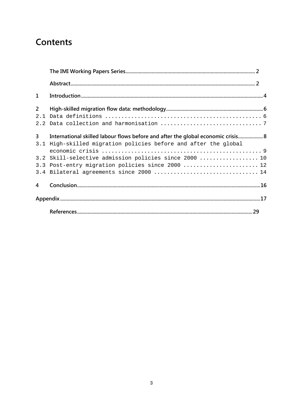# **Contents**

| $\mathbf{1}$          |                                                                                                                                                 |
|-----------------------|-------------------------------------------------------------------------------------------------------------------------------------------------|
| $\overline{2}$<br>2.1 |                                                                                                                                                 |
|                       |                                                                                                                                                 |
| $\mathbf{3}$<br>3.1   | International skilled labour flows before and after the global economic crisis 8<br>High-skilled migration policies before and after the global |
|                       | 3.2 Skill-selective admission policies since 2000  10                                                                                           |
|                       | 3.3 Post-entry migration policies since 2000  12                                                                                                |
| 4                     |                                                                                                                                                 |
|                       |                                                                                                                                                 |
|                       |                                                                                                                                                 |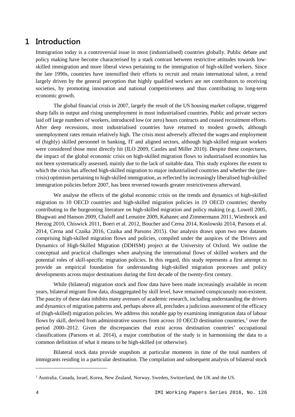## **1 Introduction**

Immigration today is a controversial issue in most (industrialised) countries globally. Public debate and policy making have become characterised by a stark contrast between restrictive attitudes towards lowskilled immigration and more liberal views pertaining to the immigration of high-skilled workers. Since the late 1990s, countries have intensified their efforts to recruit and retain international talent, a trend largely driven by the general perception that highly qualified workers are net contributors to receiving societies, by promoting innovation and national competitiveness and thus contributing to long-term economic growth.

The global financial crisis in 2007, largely the result of the US housing market collapse, triggered sharp falls in output and rising unemployment in most industrialised countries. Public and private sectors laid off large numbers of workers, introduced low (or zero) hours contracts and ceased recruitment efforts. After deep recessions, most industrialised countries have returned to modest growth, although unemployment rates remain relatively high. The crisis most adversely affected the wages and employment of (highly) skilled personnel in banking, IT and aligned sectors, although high-skilled migrant workers were considered those most directly hit (ILO 2009, Castles and Miller 2010). Despite these conjectures, the impact of the global economic crisis on high-skilled migration flows to industrialised economies has not been systematically assessed, mainly due to the lack of suitable data. This study explores the extent to which the crisis has affected high-skilled migration to major industrialised countries and whether the (precrisis) optimism pertaining to high-skilled immigration, as reflected by increasingly liberalised high-skilled immigration policies before 2007, has been reversed towards greater restrictiveness afterward.

We analyse the effects of the global economic crisis on the trends and dynamics of high-skilled migration to 10 OECD countries and high-skilled migration policies in 19 OECD countries; thereby contributing to the burgeoning literature on high-skilled migration and policy making (e.g. Lowell 2005, Bhagwati and Hanson 2009, Chaloff and Lemaitre 2009, Kahanec and Zimmermann 2011, Wiesbrock and Herzog 2010, Chiswick 2011, Boeri et al. 2012, Boucher and Cerna 2014, Koslowski 2014, Parsons et al. 2014, Cerna and Czaika 2016, Czaika and Parsons 2015). Our analysis draws upon two new datasets comprising high-skilled migration flows and policies, compiled under the auspices of the Drivers and Dynamics of High-Skilled Migration (DDHSM) project at the University of Oxford. We outline the conceptual and practical challenges when analysing the international flows of skilled workers and the potential roles of skill-specific migration policies. In this regard, this study represents a first attempt to provide an empirical foundation for understanding high-skilled migration processes and policy developments across major destinations during the first decade of the twenty-first century.

While (bilateral) migration stock and flow data have been made increasingly available in recent years, bilateral migrant flow data, disaggregated by skill level, have remained conspicuously non-existent. The paucity of these data inhibits many avenues of academic research, including understanding the drivers and dynamics of migration patterns and, perhaps above all, precludes a judicious assessment of the efficacy of (high-skilled) migration policies. We address this notable gap by examining immigration data of labour flows by skill, derived from administrative sources from across 10 OECD destination countries,<sup>1</sup> over the period 2000–2012. Given the discrepancies that exist across destination countries' occupational classifications (Parsons et al. 2014), a major contribution of the study is in harmonising the data to a common definition of what it means to be high-skilled (or otherwise).

Bilateral stock data provide snapshots at particular moments in time of the total numbers of immigrants residing in a particular destination. The compilation and subsequent analysis of bilateral stock

<sup>&</sup>lt;sup>1</sup> Australia, Canada, Israel, Korea, New Zealand, Norway, Sweden, Switzerland, the UK and the US.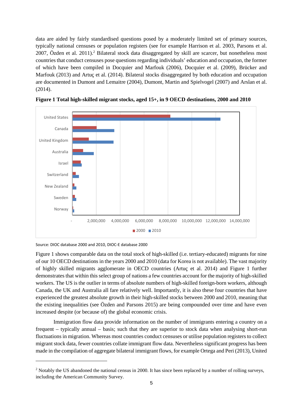data are aided by fairly standardised questions posed by a moderately limited set of primary sources, typically national censuses or population registers (see for example Harrison et al. 2003, Parsons et al. 2007, Özden et al. 2011).<sup>2</sup> Bilateral stock data disaggregated by skill are scarcer, but nonetheless most countries that conduct censuses pose questions regarding individuals' education and occupation, the former of which have been compiled in Docquier and Marfouk (2006), Docquier et al. (2009), Brücker and Marfouk (2013) and Artuç et al. (2014). Bilateral stocks disaggregated by both education and occupation are documented in Dumont and Lemaitre (2004), Dumont, Martin and Spielvogel (2007) and Arslan et al. (2014).





Source: DIOC database 2000 and 2010, DIOC-E database 2000

Figure 1 shows comparable data on the total stock of high-skilled (i.e. tertiary-educated) migrants for nine of our 10 OECD destinations in the years 2000 and 2010 (data for Korea is not available). The vast majority of highly skilled migrants agglomerate in OECD countries (Artuç et al. 2014) and Figure 1 further demonstrates that within this select group of nations a few countries account for the majority of high-skilled workers. The US is the outlier in terms of absolute numbers of high-skilled foreign-born workers, although Canada, the UK and Australia all fare relatively well. Importantly, it is also these four countries that have experienced the greatest absolute growth in their high-skilled stocks between 2000 and 2010, meaning that the existing inequalities (see Özden and Parsons 2015) are being compounded over time and have even increased despite (or because of) the global economic crisis.

Immigration flow data provide information on the number of immigrants entering a country on a frequent – typically annual – basis; such that they are superior to stock data when analysing short-run fluctuations in migration. Whereas most countries conduct censuses or utilise population registers to collect migrant stock data, fewer countries collate immigrant flow data. Nevertheless significant progress has been made in the compilation of aggregate bilateral immigrant flows, for example Ortega and Peri (2013), United

<sup>&</sup>lt;sup>2</sup> Notably the US abandoned the national census in 2000. It has since been replaced by a number of rolling surveys, including the American Community Survey.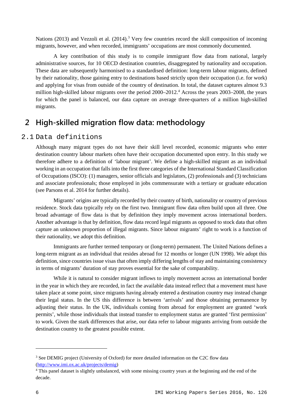Nations (2013) and Vezzoli et al.  $(2014)$ .<sup>3</sup> Very few countries record the skill composition of incoming migrants, however, and when recorded, immigrants' occupations are most commonly documented.

A key contribution of this study is to compile immigrant flow data from national, largely administrative sources, for 10 OECD destination countries, disaggregated by nationality and occupation. These data are subsequently harmonised to a standardised definition: long-term labour migrants, defined by their nationality, those gaining entry to destinations based strictly upon their occupation (i.e. for work) and applying for visas from outside of the country of destination. In total, the dataset captures almost 9.3 million high-skilled labour migrants over the period 2000–2012.<sup>4</sup> Across the years 2003–2008, the years for which the panel is balanced, our data capture on average three-quarters of a million high-skilled migrants.

## **2 High-skilled migration flow data: methodology**

#### 2.1 Data definitions

Although many migrant types do not have their skill level recorded, economic migrants who enter destination country labour markets often have their occupation documented upon entry. In this study we therefore adhere to a definition of 'labour migrant'. We define a high-skilled migrant as an individual working in an occupation that falls into the first three categories of the International Standard Classification of Occupations (ISCO): (1) managers, senior officials and legislators, (2) professionals and (3) technicians and associate professionals; those employed in jobs commensurate with a tertiary or graduate education (see Parsons et al. 2014 for further details).

Migrants' origins are typically recorded by their country of birth, nationality or country of previous residence. Stock data typically rely on the first two. Immigrant flow data often build upon all three. One broad advantage of flow data is that by definition they imply movement across international borders. Another advantage is that by definition, flow data record legal migrants as opposed to stock data that often capture an unknown proportion of illegal migrants. Since labour migrants' right to work is a function of their nationality, we adopt this definition.

Immigrants are further termed temporary or (long-term) permanent. The United Nations defines a long-term migrant as an individual that resides abroad for 12 months or longer (UN 1998). We adopt this definition, since countries issue visas that often imply differing lengths of stay and maintaining consistency in terms of migrants' duration of stay proves essential for the sake of comparability.

While it is natural to consider migrant inflows to imply movement across an international border in the year in which they are recorded, in fact the available data instead reflect that a movement must have taken place at some point, since migrants having already entered a destination country may instead change their legal status. In the US this difference is between 'arrivals' and those obtaining permanence by adjusting their status. In the UK, individuals coming from abroad for employment are granted 'work permits', while those individuals that instead transfer to employment status are granted 'first permission' to work. Given the stark differences that arise, our data refer to labour migrants arriving from outside the destination country to the greatest possible extent.

<sup>&</sup>lt;sup>3</sup> See DEMIG project (University of Oxford) for more detailed information on the C2C flow data (http://www.imi.ox.ac.uk/projects/demig)

<sup>&</sup>lt;sup>4</sup> This panel dataset is slightly unbalanced, with some missing country years at the beginning and the end of the decade.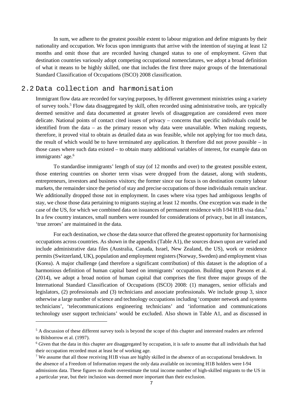In sum, we adhere to the greatest possible extent to labour migration and define migrants by their nationality and occupation. We focus upon immigrants that arrive with the intention of staying at least 12 months and omit those that are recorded having changed status to one of employment. Given that destination countries variously adopt competing occupational nomenclatures, we adopt a broad definition of what it means to be highly skilled, one that includes the first three major groups of the International Standard Classification of Occupations (ISCO) 2008 classification.

#### 2.2 Data collection and harmonisation

Immigrant flow data are recorded for varying purposes, by different government ministries using a variety of survey tools.<sup>5</sup> Flow data disaggregated by skill, often recorded using administrative tools, are typically deemed sensitive and data documented at greater levels of disaggregation are considered even more delicate. National points of contact cited issues of privacy – concerns that specific individuals could be identified from the data – as the primary reason why data were unavailable. When making requests, therefore, it proved vital to obtain as detailed data as was feasible, while not applying for too much data, the result of which would be to have terminated any application. It therefore did not prove possible – in those cases where such data existed – to obtain many additional variables of interest, for example data on immigrants' age.<sup>6</sup>

To standardise immigrants' length of stay (of 12 months and over) to the greatest possible extent, those entering countries on shorter term visas were dropped from the dataset, along with students, entrepreneurs, investors and business visitors; the former since our focus is on destination country labour markets, the remainder since the period of stay and precise occupations of those individuals remain unclear. We additionally dropped those not in employment. In cases where visa types had ambiguous lengths of stay, we chose those data pertaining to migrants staying at least 12 months. One exception was made in the case of the US, for which we combined data on issuances of permanent residence with I-94 H1B visa data.<sup>7</sup> In a few country instances, small numbers were rounded for considerations of privacy, but in all instances, 'true zeroes' are maintained in the data.

For each destination, we chose the data source that offered the greatest opportunity for harmonising occupations across countries. As shown in the appendix (Table A1), the sources drawn upon are varied and include administrative data files (Australia, Canada, Israel, New Zealand, the US), work or residence permits (Switzerland, UK), population and employment registers (Norway, Sweden) and employment visas (Korea). A major challenge (and therefore a significant contribution) of this dataset is the adoption of a harmonious definition of human capital based on immigrants' occupation. Building upon Parsons et al. (2014), we adopt a broad notion of human capital that comprises the first three major groups of the International Standard Classification of Occupations (ISCO) 2008: (1) managers, senior officials and legislators, (2) professionals and (3) technicians and associate professionals. We include group 3, since otherwise a large number of science and technology occupations including 'computer network and systems technicians', 'telecommunications engineering technicians' and 'information and communications technology user support technicians' would be excluded. Also shown in Table A1, and as discussed in

<sup>5</sup> A discussion of these different survey tools is beyond the scope of this chapter and interested readers are referred to Bilsborrow et al. (1997).

<sup>6</sup> Given that the data in this chapter are disaggregated by occupation, it is safe to assume that all individuals that had their occupation recorded must at least be of working age.

<sup>&</sup>lt;sup>7</sup> We assume that all those receiving H1B visas are highly skilled in the absence of an occupational breakdown. In the absence of a Freedom of Information request the only data available on incoming H1B holders were I-94 admissions data. These figures no doubt overestimate the total income number of high-skilled migrants to the US in a particular year, but their inclusion was deemed more important than their exclusion.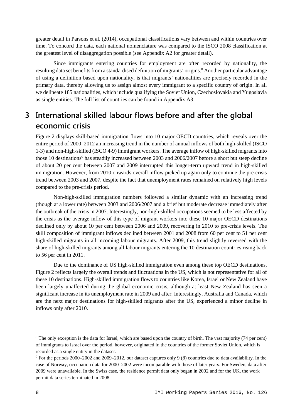greater detail in Parsons et al. (2014), occupational classifications vary between and within countries over time. To concord the data, each national nomenclature was compared to the ISCO 2008 classification at the greatest level of disaggregation possible (see Appendix A2 for greater detail).

Since immigrants entering countries for employment are often recorded by nationality, the resulting data set benefits from a standardised definition of migrants' origins.<sup>8</sup> Another particular advantage of using a definition based upon nationality, is that migrants' nationalities are precisely recorded in the primary data, thereby allowing us to assign almost every immigrant to a specific country of origin. In all we delineate 185 nationalities, which include qualifying the Soviet Union, Czechoslovakia and Yugoslavia as single entities. The full list of countries can be found in Appendix A3.

# **3 International skilled labour flows before and after the global economic crisis**

Figure 2 displays skill-based immigration flows into 10 major OECD countries, which reveals over the entire period of 2000–2012 an increasing trend in the number of annual inflows of both high-skilled (ISCO 1-3) and non-high-skilled (ISCO 4-9) immigrant workers. The average inflow of high-skilled migrants into those 10 destinations<sup>9</sup> has steadily increased between 2003 and 2006/2007 before a short but steep decline of about 20 per cent between 2007 and 2009 interrupted this longer-term upward trend in high-skilled immigration. However, from 2010 onwards overall inflow picked up again only to continue the pre-crisis trend between 2003 and 2007, despite the fact that unemployment rates remained on relatively high levels compared to the pre-crisis period.

Non-high-skilled immigration numbers followed a similar dynamic with an increasing trend (though at a lower rate) between 2003 and 2006/2007 and a brief but moderate decrease immediately after the outbreak of the crisis in 2007. Interestingly, non-high-skilled occupations seemed to be less affected by the crisis as the average inflow of this type of migrant workers into these 10 major OECD destinations declined only by about 10 per cent between 2006 and 2009, recovering in 2010 to pre-crisis levels. The skill composition of immigrant inflows declined between 2001 and 2008 from 60 per cent to 51 per cent high-skilled migrants in all incoming labour migrants. After 2009, this trend slightly reversed with the share of high-skilled migrants among all labour migrants entering the 10 destination countries rising back to 56 per cent in 2011.

Due to the dominance of US high-skilled immigration even among these top OECD destinations, Figure 2 reflects largely the overall trends and fluctuations in the US, which is not representative for all of these 10 destinations. High-skilled immigration flows to countries like Korea, Israel or New Zealand have been largely unaffected during the global economic crisis, although at least New Zealand has seen a significant increase in its unemployment rate in 2009 and after. Interestingly, Australia and Canada, which are the next major destinations for high-skilled migrants after the US, experienced a minor decline in inflows only after 2010.

<sup>&</sup>lt;sup>8</sup> The only exception is the data for Israel, which are based upon the country of birth. The vast majority (74 per cent) of immigrants to Israel over the period, however, originated in the countries of the former Soviet Union, which is recorded as a single entity in the dataset.

<sup>9</sup> For the periods 2000–2002 and 2009–2012, our dataset captures only 9 (8) countries due to data availability. In the case of Norway, occupation data for 2000–2002 were incomparable with those of later years. For Sweden, data after 2009 were unavailable. In the Swiss case, the residence permit data only began in 2002 and for the UK, the work permit data series terminated in 2008.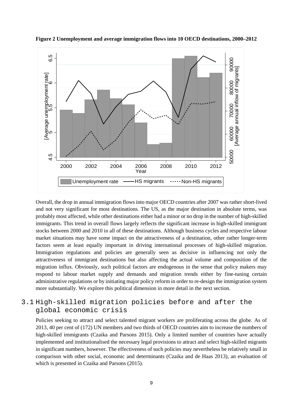

**Figure 2 Unemployment and average immigration flows into 10 OECD destinations, 2000–2012**

Overall, the drop in annual immigration flows into major OECD countries after 2007 was rather short-lived and not very significant for most destinations. The US, as the major destination in absolute terms, was probably most affected, while other destinations either had a minor or no drop in the number of high-skilled immigrants. This trend in overall flows largely reflects the significant increase in high-skilled immigrant stocks between 2000 and 2010 in all of these destinations. Although business cycles and respective labour market situations may have some impact on the attractiveness of a destination, other rather longer-term factors seem at least equally important in driving international processes of high-skilled migration. Immigration regulations and policies are generally seen as decisive in influencing not only the attractiveness of immigrant destinations but also affecting the actual volume and composition of the migration influx. Obviously, such political factors are endogenous in the sense that policy makers may respond to labour market supply and demands and migration trends either by fine-tuning certain administrative regulations or by initiating major policy reform in order to re-design the immigration system more substantially. We explore this political dimension in more detail in the next section.

#### 3.1 High-skilled migration policies before and after the global economic crisis

Policies seeking to attract and select talented migrant workers are proliferating across the globe. As of 2013, 40 per cent of (172) UN members and two thirds of OECD countries aim to increase the numbers of high-skilled immigrants (Czaika and Parsons 2015). Only a limited number of countries have actually implemented and institutionalised the necessary legal provisions to attract and select high-skilled migrants in significant numbers, however. The effectiveness of such policies may nevertheless be relatively small in comparison with other social, economic and determinants (Czaika and de Haas 2013), an evaluation of which is presented in Czaika and Parsons (2015).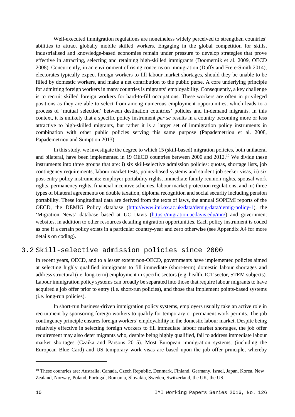Well-executed immigration regulations are nonetheless widely perceived to strengthen countries' abilities to attract globally mobile skilled workers. Engaging in the global competition for skills, industrialised and knowledge-based economies remain under pressure to develop strategies that prove effective in attracting, selecting and retaining high-skilled immigrants (Doomernik et al. 2009, OECD 2008). Concurrently, in an environment of rising concerns on immigration (Duffy and Frere-Smith 2014), electorates typically expect foreign workers to fill labour market shortages, should they be unable to be filled by domestic workers, and make a net contribution to the public purse. A core underlying principle for admitting foreign workers in many countries is migrants' employability. Consequently, a key challenge is to recruit skilled foreign workers for hard-to-fill occupations. These workers are often in privileged positions as they are able to select from among numerous employment opportunities, which leads to a process of 'mutual selection' between destination countries' policies and in-demand migrants. In this context, it is unlikely that a specific policy instrument *per se* results in a country becoming more or less attractive to high-skilled migrants, but rather it is a larger set of immigration policy instruments in combination with other public policies serving this same purpose (Papademetriou et al. 2008, Papademetriou and Sumption 2013).

In this study, we investigate the degree to which 15 (skill-based) migration policies, both unilateral and bilateral, have been implemented in 19 OECD countries between 2000 and 2012.<sup>10</sup> We divide these instruments into three groups that are: i) six skill-selective admission policies: quotas, shortage lists, job contingency requirements, labour market tests, points-based systems and student job seeker visas, ii) six post-entry policy instruments: employer portability rights, immediate family reunion rights, spousal work rights, permanency rights, financial incentive schemes, labour market protection regulations, and iii) three types of bilateral agreements on double taxation, diploma recognition and social security including pension portability. These longitudinal data are derived from the texts of laws, the annual SOPEMI reports of the OECD, the DEMIG Policy database (http://www.imi.ox.ac.uk/data/demig-data/demig-policy-1), the 'Migration News' database based at UC Davis (https://migration.ucdavis.edu/mn/) and government websites, in addition to other resources detailing migration opportunities. Each policy instrument is coded as one if a certain policy exists in a particular country-year and zero otherwise (see Appendix A4 for more details on coding).

#### 3.2 Skill-selective admission policies since 2000

In recent years, OECD, and to a lesser extent non-OECD, governments have implemented policies aimed at selecting highly qualified immigrants to fill immediate (short-term) domestic labour shortages and address structural (i.e. long-term) employment in specific sectors (e.g. health, ICT sector, STEM subjects). Labour immigration policy systems can broadly be separated into those that require labour migrants to have acquired a job offer prior to entry (i.e. short-run policies), and those that implement points-based systems (i.e. long-run policies).

In short-run business-driven immigration policy systems, employers usually take an active role in recruitment by sponsoring foreign workers to qualify for temporary or permanent work permits. The job contingency principle ensures foreign workers' employability in the domestic labour market. Despite being relatively effective in selecting foreign workers to fill immediate labour market shortages, the job offer requirement may also deter migrants who, despite being highly qualified, fail to address immediate labour market shortages (Czaika and Parsons 2015). Most European immigration systems, (including the European Blue Card) and US temporary work visas are based upon the job offer principle, whereby

<sup>&</sup>lt;sup>10</sup> These countries are: Australia, Canada, Czech Republic, Denmark, Finland, Germany, Israel, Japan, Korea, New Zealand, Norway, Poland, Portugal, Romania, Slovakia, Sweden, Switzerland, the UK, the US.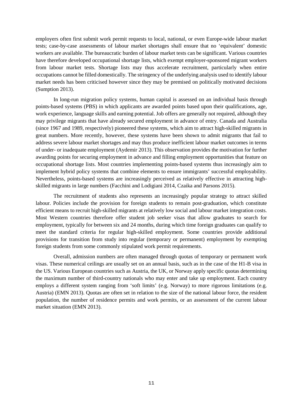employers often first submit work permit requests to local, national, or even Europe-wide labour market tests; case-by-case assessments of labour market shortages shall ensure that no 'equivalent' domestic workers are available. The bureaucratic burden of labour market tests can be significant. Various countries have therefore developed occupational shortage lists, which exempt employer-sponsored migrant workers from labour market tests. Shortage lists may thus accelerate recruitment, particularly when entire occupations cannot be filled domestically. The stringency of the underlying analysis used to identify labour market needs has been criticised however since they may be premised on politically motivated decisions (Sumption 2013).

In long-run migration policy systems, human capital is assessed on an individual basis through points-based systems (PBS) in which applicants are awarded points based upon their qualifications, age, work experience, language skills and earning potential. Job offers are generally not required, although they may privilege migrants that have already secured employment in advance of entry. Canada and Australia (since 1967 and 1989, respectively) pioneered these systems, which aim to attract high-skilled migrants in great numbers. More recently, however, these systems have been shown to admit migrants that fail to address severe labour market shortages and may thus produce inefficient labour market outcomes in terms of under- or inadequate employment (Aydemir 2013). This observation provides the motivation for further awarding points for securing employment in advance and filling employment opportunities that feature on occupational shortage lists. Most countries implementing points-based systems thus increasingly aim to implement hybrid policy systems that combine elements to ensure immigrants' successful employability. Nevertheless, points-based systems are increasingly perceived as relatively effective in attracting highskilled migrants in large numbers (Facchini and Lodigiani 2014, Czaika and Parsons 2015).

The recruitment of students also represents an increasingly popular strategy to attract skilled labour. Policies include the provision for foreign students to remain post-graduation, which constitute efficient means to recruit high-skilled migrants at relatively low social and labour market integration costs. Most Western countries therefore offer student job seeker visas that allow graduates to search for employment, typically for between six and 24 months, during which time foreign graduates can qualify to meet the standard criteria for regular high-skilled employment. Some countries provide additional provisions for transition from study into regular (temporary or permanent) employment by exempting foreign students from some commonly stipulated work permit requirements.

Overall, admission numbers are often managed through quotas of temporary or permanent work visas. These numerical ceilings are usually set on an annual basis, such as in the case of the H1-B visa in the US. Various European countries such as Austria, the UK, or Norway apply specific quotas determining the maximum number of third-country nationals who may enter and take up employment. Each country employs a different system ranging from 'soft limits' (e.g. Norway) to more rigorous limitations (e.g. Austria) (EMN 2013). Quotas are often set in relation to the size of the national labour force, the resident population, the number of residence permits and work permits, or an assessment of the current labour market situation (EMN 2013).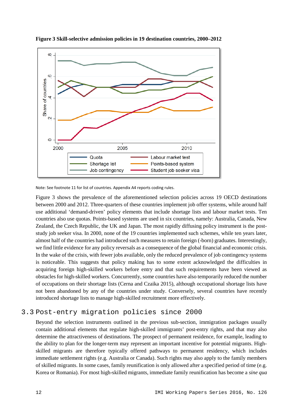

**Figure 3 Skill-selective admission policies in 19 destination countries, 2000–2012**

Note: See footnote 11 for list of countries. Appendix A4 reports coding rules.

Figure 3 shows the prevalence of the aforementioned selection policies across 19 OECD destinations between 2000 and 2012. Three-quarters of these countries implement job offer systems, while around half use additional 'demand-driven' policy elements that include shortage lists and labour market tests. Ten countries also use quotas. Points-based systems are used in six countries, namely: Australia, Canada, New Zealand, the Czech Republic, the UK and Japan. The most rapidly diffusing policy instrument is the poststudy job seeker visa. In 2000, none of the 19 countries implemented such schemes, while ten years later, almost half of the countries had introduced such measures to retain foreign (-born) graduates. Interestingly, we find little evidence for any policy reversals as a consequence of the global financial and economic crisis. In the wake of the crisis, with fewer jobs available, only the reduced prevalence of job contingency systems is noticeable. This suggests that policy making has to some extent acknowledged the difficulties in acquiring foreign high-skilled workers before entry and that such requirements have been viewed as obstacles for high-skilled workers. Concurrently, some countries have also temporarily reduced the number of occupations on their shortage lists (Cerna and Czaika 2015), although occupational shortage lists have not been abandoned by any of the countries under study. Conversely, several countries have recently introduced shortage lists to manage high-skilled recruitment more effectively.

#### 3.3 Post-entry migration policies since 2000

Beyond the selection instruments outlined in the previous sub-section, immigration packages usually contain additional elements that regulate high-skilled immigrants' post-entry rights, and that may also determine the attractiveness of destinations. The prospect of permanent residence, for example, leading to the ability to plan for the longer-term may represent an important incentive for potential migrants. Highskilled migrants are therefore typically offered pathways to permanent residency, which includes immediate settlement rights (e.g. Australia or Canada). Such rights may also apply to the family members of skilled migrants. In some cases, family reunification is only allowed after a specified period of time (e.g. Korea or Romania). For most high-skilled migrants, immediate family reunification has become a *sine qua*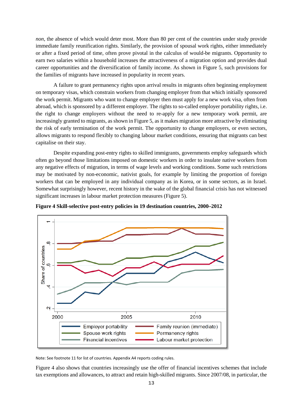*non*, the absence of which would deter most. More than 80 per cent of the countries under study provide immediate family reunification rights. Similarly, the provision of spousal work rights, either immediately or after a fixed period of time, often prove pivotal in the calculus of would-be migrants. Opportunity to earn two salaries within a household increases the attractiveness of a migration option and provides dual career opportunities and the diversification of family income. As shown in Figure 5, such provisions for the families of migrants have increased in popularity in recent years.

A failure to grant permanency rights upon arrival results in migrants often beginning employment on temporary visas, which constrain workers from changing employer from that which initially sponsored the work permit. Migrants who want to change employer then must apply for a new work visa, often from abroad, which is sponsored by a different employer. The rights to so-called employer portability rights, i.e. the right to change employers without the need to re-apply for a new temporary work permit, are increasingly granted to migrants, as shown in Figure 5, as it makes migration more attractive by eliminating the risk of early termination of the work permit. The opportunity to change employers, or even sectors, allows migrants to respond flexibly to changing labour market conditions, ensuring that migrants can best capitalise on their stay.

Despite expanding post-entry rights to skilled immigrants, governments employ safeguards which often go beyond those limitations imposed on domestic workers in order to insulate native workers from any negative effects of migration, in terms of wage levels and working conditions. Some such restrictions may be motivated by non-economic, nativist goals, for example by limiting the proportion of foreign workers that can be employed in any individual company as in Korea, or in some sectors, as in Israel. Somewhat surprisingly however, recent history in the wake of the global financial crisis has not witnessed significant increases in labour market protection measures (Figure 5).



**Figure 4 Skill-selective post-entry policies in 19 destination countries, 2000–2012**

Note: See footnote 11 for list of countries. Appendix A4 reports coding rules.

Figure 4 also shows that countries increasingly use the offer of financial incentives schemes that include tax exemptions and allowances, to attract and retain high-skilled migrants. Since 2007/08, in particular, the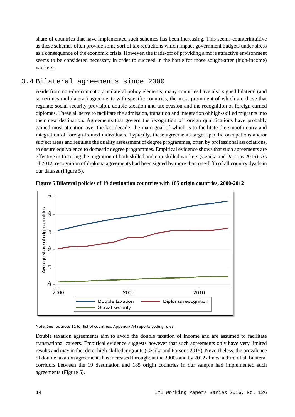share of countries that have implemented such schemes has been increasing. This seems counterintuitive as these schemes often provide some sort of tax reductions which impact government budgets under stress as a consequence of the economic crisis. However, the trade-off of providing a more attractive environment seems to be considered necessary in order to succeed in the battle for those sought-after (high-income) workers.

#### 3.4 Bilateral agreements since 2000

Aside from non-discriminatory unilateral policy elements, many countries have also signed bilateral (and sometimes multilateral) agreements with specific countries, the most prominent of which are those that regulate social security provision, double taxation and tax evasion and the recognition of foreign-earned diplomas. These all serve to facilitate the admission, transition and integration of high-skilled migrants into their new destination. Agreements that govern the recognition of foreign qualifications have probably gained most attention over the last decade; the main goal of which is to facilitate the smooth entry and integration of foreign-trained individuals. Typically, these agreements target specific occupations and/or subject areas and regulate the quality assessment of degree programmes, often by professional associations, to ensure equivalence to domestic degree programmes. Empirical evidence shows that such agreements are effective in fostering the migration of both skilled and non-skilled workers (Czaika and Parsons 2015). As of 2012, recognition of diploma agreements had been signed by more than one-fifth of all country dyads in our dataset (Figure 5).



**Figure 5 Bilateral policies of 19 destination countries with 185 origin countries, 2000-2012**

Note: See footnote 11 for list of countries. Appendix A4 reports coding rules.

Double taxation agreements aim to avoid the double taxation of income and are assumed to facilitate transnational careers. Empirical evidence suggests however that such agreements only have very limited results and may in fact deter high-skilled migrants (Czaika and Parsons 2015). Nevertheless, the prevalence of double taxation agreements has increased throughout the 2000s and by 2012 almost a third of all bilateral corridors between the 19 destination and 185 origin countries in our sample had implemented such agreements (Figure 5).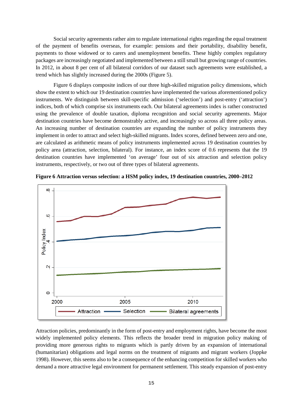Social security agreements rather aim to regulate international rights regarding the equal treatment of the payment of benefits overseas, for example: pensions and their portability, disability benefit, payments to those widowed or to carers and unemployment benefits. These highly complex regulatory packages are increasingly negotiated and implemented between a still small but growing range of countries. In 2012, in about 8 per cent of all bilateral corridors of our dataset such agreements were established, a trend which has slightly increased during the 2000s (Figure 5).

Figure 6 displays composite indices of our three high-skilled migration policy dimensions, which show the extent to which our 19 destination countries have implemented the various aforementioned policy instruments. We distinguish between skill-specific admission ('selection') and post-entry ('attraction') indices, both of which comprise six instruments each. Our bilateral agreements index is rather constructed using the prevalence of double taxation, diploma recognition and social security agreements. Major destination countries have become demonstrably active, and increasingly so across all three policy areas. An increasing number of destination countries are expanding the number of policy instruments they implement in order to attract and select high-skilled migrants. Index scores, defined between zero and one, are calculated as arithmetic means of policy instruments implemented across 19 destination countries by policy area (attraction, selection, bilateral). For instance, an index score of 0.6 represents that the 19 destination countries have implemented 'on average' four out of six attraction and selection policy instruments, respectively, or two out of three types of bilateral agreements.



**Figure 6 Attraction versus selection: a HSM policy index, 19 destination countries, 2000–2012**

Attraction policies, predominantly in the form of post-entry and employment rights, have become the most widely implemented policy elements. This reflects the broader trend in migration policy making of providing more generous rights to migrants which is partly driven by an expansion of international (humanitarian) obligations and legal norms on the treatment of migrants and migrant workers (Joppke 1998). However, this seems also to be a consequence of the enhancing competition for skilled workers who demand a more attractive legal environment for permanent settlement. This steady expansion of post-entry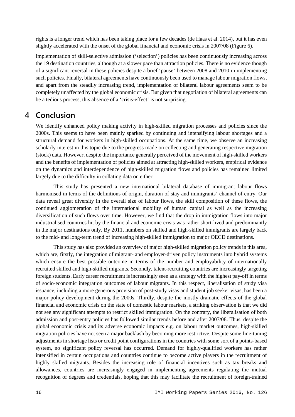rights is a longer trend which has been taking place for a few decades (de Haas et al. 2014), but it has even slightly accelerated with the onset of the global financial and economic crisis in 2007/08 (Figure 6).

Implementation of skill-selective admission ('selection') policies has been continuously increasing across the 19 destination countries, although at a slower pace than attraction policies. There is no evidence though of a significant reversal in these policies despite a brief 'pause' between 2008 and 2010 in implementing such policies. Finally, bilateral agreements have continuously been used to manage labour migration flows, and apart from the steadily increasing trend, implementation of bilateral labour agreements seem to be completely unaffected by the global economic crisis. But given that negotiation of bilateral agreements can be a tedious process, this absence of a 'crisis-effect' is not surprising.

### **4 Conclusion**

We identify enhanced policy making activity in high-skilled migration processes and policies since the 2000s. This seems to have been mainly sparked by continuing and intensifying labour shortages and a structural demand for workers in high-skilled occupations. At the same time, we observe an increasing scholarly interest in this topic due to the progress made on collecting and generating respective migration (stock) data. However, despite the importance generally perceived of the movement of high-skilled workers and the benefits of implementation of policies aimed at attracting high-skilled workers, empirical evidence on the dynamics and interdependence of high-skilled migration flows and policies has remained limited largely due to the difficulty in collating data on either.

This study has presented a new international bilateral database of immigrant labour flows harmonised in terms of the definitions of origin, duration of stay and immigrants' channel of entry. Our data reveal great diversity in the overall size of labour flows, the skill composition of these flows, the continued agglomeration of the international mobility of human capital as well as the increasing diversification of such flows over time. However, we find that the drop in immigration flows into major industrialised countries hit by the financial and economic crisis was rather short-lived and predominantly in the major destinations only. By 2011, numbers on skilled and high-skilled immigrants are largely back to the mid- and long-term trend of increasing high-skilled immigration to major OECD destinations.

This study has also provided an overview of major high-skilled migration policy trends in this area, which are, firstly, the integration of migrant- and employer-driven policy instruments into hybrid systems which ensure the best possible outcome in terms of the number and employability of internationally recruited skilled and high-skilled migrants. Secondly, talent-recruiting countries are increasingly targeting foreign students. Early career recruitment is increasingly seen as a strategy with the highest pay-off in terms of socio-economic integration outcomes of labour migrants. In this respect, liberalisation of study visa issuance, including a more generous provision of post-study visas and student job seeker visas, has been a major policy development during the 2000s. Thirdly, despite the mostly dramatic effects of the global financial and economic crisis on the state of domestic labour markets, a striking observation is that we did not see any significant attempts to restrict skilled immigration. On the contrary, the liberalisation of both admission and post-entry policies has followed similar trends before and after 2007/08. Thus, despite the global economic crisis and its adverse economic impacts e.g. on labour market outcomes, high-skilled migration policies have not seen a major backlash by becoming more restrictive. Despite some fine-tuning adjustments in shortage lists or credit point configurations in the countries with some sort of a points-based system, no significant policy reversal has occurred. Demand for highly-qualified workers has rather intensified in certain occupations and countries continue to become active players in the recruitment of highly skilled migrants. Besides the increasing role of financial incentives such as tax breaks and allowances, countries are increasingly engaged in implementing agreements regulating the mutual recognition of degrees and credentials, hoping that this may facilitate the recruitment of foreign-trained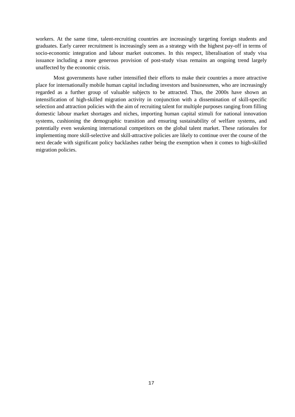workers. At the same time, talent-recruiting countries are increasingly targeting foreign students and graduates. Early career recruitment is increasingly seen as a strategy with the highest pay-off in terms of socio-economic integration and labour market outcomes. In this respect, liberalisation of study visa issuance including a more generous provision of post-study visas remains an ongoing trend largely unaffected by the economic crisis.

Most governments have rather intensified their efforts to make their countries a more attractive place for internationally mobile human capital including investors and businessmen, who are increasingly regarded as a further group of valuable subjects to be attracted. Thus, the 2000s have shown an intensification of high-skilled migration activity in conjunction with a dissemination of skill-specific selection and attraction policies with the aim of recruiting talent for multiple purposes ranging from filling domestic labour market shortages and niches, importing human capital stimuli for national innovation systems, cushioning the demographic transition and ensuring sustainability of welfare systems, and potentially even weakening international competitors on the global talent market. These rationales for implementing more skill-selective and skill-attractive policies are likely to continue over the course of the next decade with significant policy backlashes rather being the exemption when it comes to high-skilled migration policies.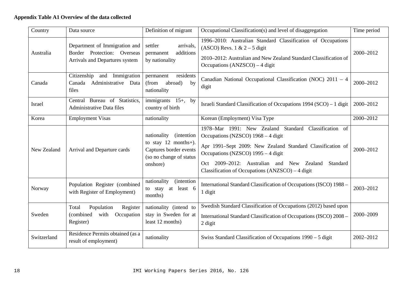| Country       | Data source                                                                                    | Definition of migrant                                                                                                        | Occupational Classification(s) and level of disaggregation                                                                                                                                                                                                                                                              | Time period |
|---------------|------------------------------------------------------------------------------------------------|------------------------------------------------------------------------------------------------------------------------------|-------------------------------------------------------------------------------------------------------------------------------------------------------------------------------------------------------------------------------------------------------------------------------------------------------------------------|-------------|
| Australia     | Department of Immigration and<br>Border Protection: Overseas<br>Arrivals and Departures system | settler<br>arrivals,<br>additions<br>permanent<br>by nationality                                                             | 1996-2010: Australian Standard Classification of Occupations<br>(ASCO) Revs. $1 \& 2 - 5$ digit<br>2010–2012: Australian and New Zealand Standard Classification of<br>Occupations (ANZSCO) – 4 digit                                                                                                                   | 2000-2012   |
| Canada        | Citizenship<br>and Immigration<br>Canada<br>Administrative Data<br>files                       | residents<br>permanent<br>abroad)<br>(from<br>by<br>nationality                                                              | Canadian National Occupational Classification (NOC) 2011 - 4<br>digit                                                                                                                                                                                                                                                   | 2000-2012   |
| <b>Israel</b> | Central Bureau of Statistics,<br><b>Administrative Data files</b>                              | immigrants 15+, by<br>country of birth                                                                                       | Israeli Standard Classification of Occupations 1994 (SCO) – 1 digit                                                                                                                                                                                                                                                     | 2000-2012   |
| Korea         | <b>Employment Visas</b>                                                                        | nationality                                                                                                                  | Korean (Employment) Visa Type                                                                                                                                                                                                                                                                                           | 2000-2012   |
| New Zealand   | Arrival and Departure cards                                                                    | nationality<br><i>(intention)</i><br>to stay $12$ months+).<br>Captures border events<br>(so no change of status<br>onshore) | 1978–Mar 1991: New Zealand<br>Classification of<br>Standard<br>Occupations (NZSCO) 1968 - 4 digit<br>Apr 1991-Sept 2009: New Zealand Standard Classification of<br>Occupations (NZSCO) 1995 – 4 digit<br>2009–2012: Australian and New Zealand<br>Standard<br>Oct<br>Classification of Occupations $(ANZSCO) - 4$ digit | 2000-2012   |
| Norway        | Population Register (combined<br>with Register of Employment)                                  | nationality<br><i>(intention)</i><br>to stay at least 6<br>months)                                                           | International Standard Classification of Occupations (ISCO) 1988 -<br>1 digit                                                                                                                                                                                                                                           | 2003-2012   |
| Sweden        | Population<br>Register<br>Total<br>(combined)<br>with<br>Occupation<br>Register)               | nationality (intend to<br>stay in Sweden for at<br>least 12 months)                                                          | Swedish Standard Classification of Occupations (2012) based upon<br>International Standard Classification of Occupations (ISCO) 2008 -<br>2 digit                                                                                                                                                                       | 2000-2009   |
| Switzerland   | Residence Permits obtained (as a<br>result of employment)                                      | nationality                                                                                                                  | Swiss Standard Classification of Occupations 1990 – 5 digit                                                                                                                                                                                                                                                             | 2002-2012   |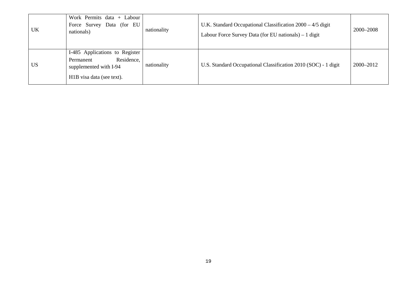| UK        | Work Permits data + Labour<br>Force Survey Data (for EU)<br>nationals)                                                        | nationality | U.K. Standard Occupational Classification $2000 - 4/5$ digit<br>Labour Force Survey Data (for EU nationals) – 1 digit | 2000-2008 |
|-----------|-------------------------------------------------------------------------------------------------------------------------------|-------------|-----------------------------------------------------------------------------------------------------------------------|-----------|
| <b>US</b> | I-485 Applications to Register<br>Residence,<br>Permanent<br>supplemented with I-94<br>H <sub>1</sub> B visa data (see text). | nationality | U.S. Standard Occupational Classification 2010 (SOC) - 1 digit                                                        | 2000-2012 |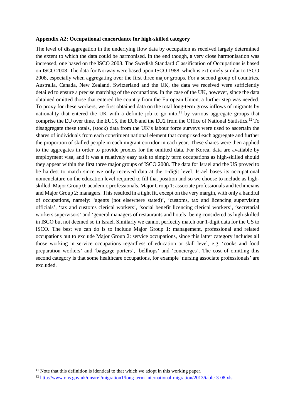#### **Appendix A2: Occupational concordance for high-skilled category**

The level of disaggregation in the underlying flow data by occupation as received largely determined the extent to which the data could be harmonised. In the end though, a very close harmonisation was increased, one based on the ISCO 2008. The Swedish Standard Classification of Occupations is based on ISCO 2008. The data for Norway were based upon ISCO 1988, which is extremely similar to ISCO 2008, especially when aggregating over the first three major groups. For a second group of countries, Australia, Canada, New Zealand, Switzerland and the UK, the data we received were sufficiently detailed to ensure a precise matching of the occupations. In the case of the UK, however, since the data obtained omitted those that entered the country from the European Union, a further step was needed. To proxy for these workers, we first obtained data on the total long-term gross inflows of migrants by nationality that entered the UK with a definite job to go into, $11$  by various aggregate groups that comprise the EU over time, the EU15, the EU8 and the EU2 from the Office of National Statistics.<sup>12</sup> To disaggregate these totals, (stock) data from the UK's labour force surveys were used to ascertain the shares of individuals from each constituent national element that comprised each aggregate and further the proportion of skilled people in each migrant corridor in each year. These shares were then applied to the aggregates in order to provide proxies for the omitted data. For Korea, data are available by employment visa, and it was a relatively easy task to simply term occupations as high-skilled should they appear within the first three major groups of ISCO 2008. The data for Israel and the US proved to be hardest to match since we only received data at the 1-digit level. Israel bases its occupational nomenclature on the education level required to fill that position and so we choose to include as highskilled: Major Group 0: academic professionals, Major Group 1: associate professionals and technicians and Major Group 2: managers. This resulted in a tight fit, except on the very margin, with only a handful of occupations, namely: 'agents (not elsewhere stated)', 'customs, tax and licencing supervising officials', 'tax and customs clerical workers', 'social benefit licencing clerical workers', 'secretarial workers supervisors' and 'general managers of restaurants and hotels' being considered as high-skilled in ISCO but not deemed so in Israel. Similarly we cannot perfectly match our 1-digit data for the US to ISCO. The best we can do is to include Major Group 1: management, professional and related occupations but to exclude Major Group 2: service occupations, since this latter category includes all those working in service occupations regardless of education or skill level, e.g. 'cooks and food preparation workers' and 'baggage porters', 'bellhops' and 'concierges'. The cost of omitting this second category is that some healthcare occupations, for example 'nursing associate professionals' are excluded.

 $11$  Note that this definition is identical to that which we adopt in this working paper.

<sup>12</sup> http://www.ons.gov.uk/ons/rel/migration1/long-term-international-migration/2013/table-3-08.xls.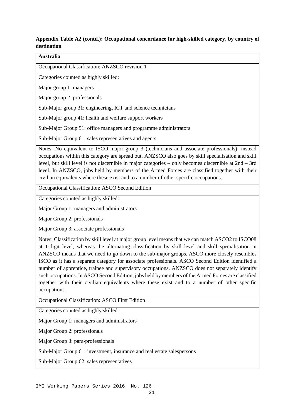#### **Appendix Table A2 (contd.): Occupational concordance for high-skilled category, by country of destination**

#### **Australia**

Occupational Classification: ANZSCO revision 1

Categories counted as highly skilled:

Major group 1: managers

Major group 2: professionals

Sub-Major group 31: engineering, ICT and science technicians

Sub-Major group 41: health and welfare support workers

Sub-Major Group 51: office managers and programme administrators

Sub-Major Group 61: sales representatives and agents

Notes: No equivalent to ISCO major group 3 (technicians and associate professionals); instead occupations within this category are spread out. ANZSCO also goes by skill specialisation and skill level, but skill level is not discernible in major categories – only becomes discernible at 2nd – 3rd level. In ANZSCO, jobs held by members of the Armed Forces are classified together with their civilian equivalents where these exist and to a number of other specific occupations.

Occupational Classification: ASCO Second Edition

Categories counted as highly skilled:

Major Group 1: managers and administrators

Major Group 2: professionals

Major Group 3: associate professionals

Notes: Classification by skill level at major group level means that we can match ASCO2 to ISCO08 at 1-digit level, whereas the alternating classification by skill level and skill specialisation in ANZSCO means that we need to go down to the sub-major groups. ASCO more closely resembles ISCO as it has a separate category for associate professionals. ASCO Second Edition identified a number of apprentice, trainee and supervisory occupations. ANZSCO does not separately identify such occupations. In ASCO Second Edition, jobs held by members of the Armed Forces are classified together with their civilian equivalents where these exist and to a number of other specific occupations.

Occupational Classification: ASCO First Edition

Categories counted as highly skilled:

Major Group 1: managers and administrators

Major Group 2: professionals

Major Group 3: para-professionals

Sub-Major Group 61: investment, insurance and real estate salespersons

Sub-Major Group 62: sales representatives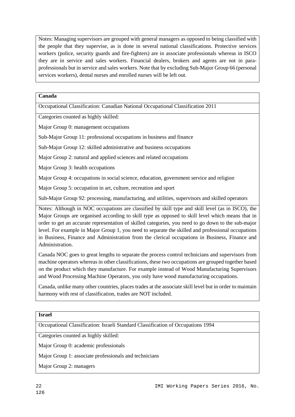Notes: Managing supervisors are grouped with general managers as opposed to being classified with the people that they supervise, as is done in several national classifications. Protective services workers (police, security guards and fire-fighters) are in associate professionals whereas in ISCO they are in service and sales workers. Financial dealers, brokers and agents are not in paraprofessionals but in service and sales workers. Note that by excluding Sub-Major Group 66 (personal services workers), dental nurses and enrolled nurses will be left out.

#### **Canada**

Occupational Classification: Canadian National Occupational Classification 2011

Categories counted as highly skilled:

Major Group 0: management occupations

Sub-Major Group 11: professional occupations in business and finance

Sub-Major Group 12: skilled administrative and business occupations

Major Group 2: natural and applied sciences and related occupations

Major Group 3: health occupations

Major Group 4: occupations in social science, education, government service and religion

Major Group 5: occupation in art, culture, recreation and sport

Sub-Major Group 92: processing, manufacturing, and utilities, supervisors and skilled operators

Notes: Although in NOC occupations are classified by skill type and skill level (as in ISCO), the Major Groups are organised according to skill type as opposed to skill level which means that in order to get an accurate representation of skilled categories, you need to go down to the sub-major level. For example in Major Group 1, you need to separate the skilled and professional occupations in Business, Finance and Administration from the clerical occupations in Business, Finance and Administration.

Canada NOC goes to great lengths to separate the process control technicians and supervisors from machine operators whereas in other classifications, these two occupations are grouped together based on the product which they manufacture. For example instead of Wood Manufacturing Supervisors and Wood Processing Machine Operators, you only have wood manufacturing occupations.

Canada, unlike many other countries, places trades at the associate skill level but in order to maintain harmony with rest of classification, trades are NOT included.

#### **Israel**

Occupational Classification: Israeli Standard Classification of Occupations 1994

Categories counted as highly skilled:

Major Group 0: academic professionals

Major Group 1: associate professionals and technicians

Major Group 2: managers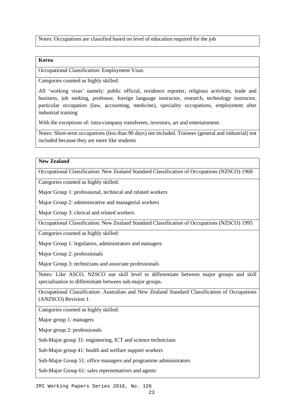Notes: Occupations are classified based on level of education required for the job

#### **Korea**

Occupational Classification: Employment Visas

Categories counted as highly skilled:

All 'working visas' namely: public official, residence reporter, religious activities, trade and business, job seeking, professor, foreign language instructor, research, technology instructor, particular occupation (law, accounting, medicine), speciality occupations, employment after industrial training

With the exceptions of: intra-company transferees, investors, art and entertainment.

Notes: Short-term occupations (less than 90 days) not included. Trainees (general and industrial) not included because they are more like students

#### **New Zealand**

Occupational Classification: New Zealand Standard Classification of Occupations (NZSCO) 1968

Categories counted as highly skilled:

Major Group 1: professional, technical and related workers

Major Group 2: administrative and managerial workers

Major Group 3: clerical and related workers

Occupational Classification: New Zealand Standard Classification of Occupations (NZSCO) 1995

Categories counted as highly skilled:

Major Group 1: legislators, administrators and managers

Major Group 2: professionals

Major Group 3: technicians and associate professionals

Notes: Like ASCO, NZSCO use skill level to differentiate between major groups and skill specialisation to differentiate between sub-major groups.

Occupational Classification: Australian and New Zealand Standard Classification of Occupations (ANZSCO) Revision 1.

Categories counted as highly skilled:

Major group 1: managers

Major group 2: professionals

Sub-Major group 31: engineering, ICT and science technicians

Sub-Major group 41: health and welfare support workers

Sub-Major Group 51: office managers and programme administrators

Sub-Major Group 61: sales representatives and agents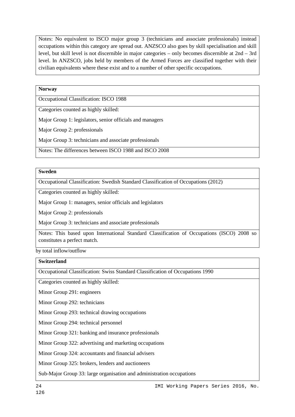Notes: No equivalent to ISCO major group 3 (technicians and associate professionals) instead occupations within this category are spread out. ANZSCO also goes by skill specialisation and skill level, but skill level is not discernible in major categories – only becomes discernible at 2nd – 3rd level. In ANZSCO, jobs held by members of the Armed Forces are classified together with their civilian equivalents where these exist and to a number of other specific occupations.

#### **Norway**

Occupational Classification: ISCO 1988

Categories counted as highly skilled:

Major Group 1: legislators, senior officials and managers

Major Group 2: professionals

Major Group 3: technicians and associate professionals

Notes: The differences between ISCO 1988 and ISCO 2008

#### **Sweden**

Occupational Classification: Swedish Standard Classification of Occupations (2012)

Categories counted as highly skilled:

Major Group 1: managers, senior officials and legislators

Major Group 2: professionals

Major Group 3: technicians and associate professionals

Notes: This based upon International Standard Classification of Occupations (ISCO) 2008 so constitutes a perfect match.

by total inflow/outflow

#### **Switzerland**

Occupational Classification: Swiss Standard Classification of Occupations 1990

Categories counted as highly skilled:

Minor Group 291: engineers

Minor Group 292: technicians

Minor Group 293: technical drawing occupations

Minor Group 294: technical personnel

Minor Group 321: banking and insurance professionals

Minor Group 322: advertising and marketing occupations

Minor Group 324: accountants and financial advisers

Minor Group 325: brokers, lenders and auctioneers

Sub-Major Group 33: large organisation and administration occupations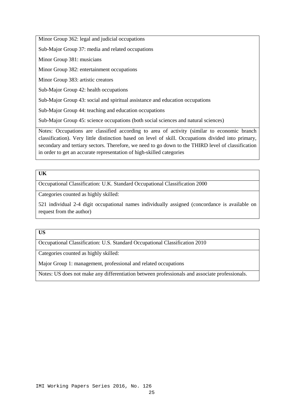Minor Group 362: legal and judicial occupations

Sub-Major Group 37: media and related occupations

Minor Group 381: musicians

Minor Group 382: entertainment occupations

Minor Group 383: artistic creators

Sub-Major Group 42: health occupations

Sub-Major Group 43: social and spiritual assistance and education occupations

Sub-Major Group 44: teaching and education occupations

Sub-Major Group 45: science occupations (both social sciences and natural sciences)

Notes: Occupations are classified according to area of activity (similar to economic branch classification). Very little distinction based on level of skill. Occupations divided into primary, secondary and tertiary sectors. Therefore, we need to go down to the THIRD level of classification in order to get an accurate representation of high-skilled categories

#### **UK**

Occupational Classification: U.K. Standard Occupational Classification 2000

Categories counted as highly skilled:

521 individual 2-4 digit occupational names individually assigned (concordance is available on request from the author)

#### **US**

Occupational Classification: U.S. Standard Occupational Classification 2010

Categories counted as highly skilled:

Major Group 1: management, professional and related occupations

Notes: US does not make any differentiation between professionals and associate professionals.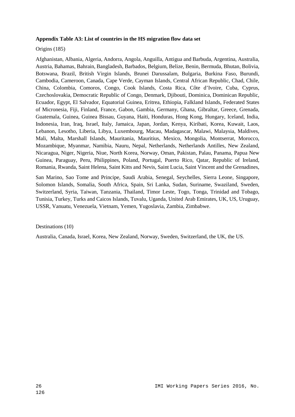#### **Appendix Table A3: List of countries in the HS migration flow data set**

Origins (185)

Afghanistan, Albania, Algeria, Andorra, Angola, Anguilla, Antigua and Barbuda, Argentina, Australia, Austria, Bahamas, Bahrain, Bangladesh, Barbados, Belgium, Belize, Benin, Bermuda, Bhutan, Bolivia, Botswana, Brazil, British Virgin Islands, Brunei Darussalam, Bulgaria, Burkina Faso, Burundi, Cambodia, Cameroon, Canada, Cape Verde, Cayman Islands, Central African Republic, Chad, Chile, China, Colombia, Comoros, Congo, Cook Islands, Costa Rica, Côte d'Ivoire, Cuba, Cyprus, Czechoslovakia, Democratic Republic of Congo, Denmark, Djibouti, Dominica, Dominican Republic, Ecuador, Egypt, El Salvador, Equatorial Guinea, Eritrea, Ethiopia, Falkland Islands, Federated States of Micronesia, Fiji, Finland, France, Gabon, Gambia, Germany, Ghana, Gibraltar, Greece, Grenada, Guatemala, Guinea, Guinea Bissau, Guyana, Haiti, Honduras, Hong Kong, Hungary, Iceland, India, Indonesia, Iran, Iraq, Israel, Italy, Jamaica, Japan, Jordan, Kenya, Kiribati, Korea, Kuwait, Laos, Lebanon, Lesotho, Liberia, Libya, Luxembourg, Macau, Madagascar, Malawi, Malaysia, Maldives, Mali, Malta, Marshall Islands, Mauritania, Mauritius, Mexico, Mongolia, Montserrat, Morocco, Mozambique, Myanmar, Namibia, Nauru, Nepal, Netherlands, Netherlands Antilles, New Zealand, Nicaragua, Niger, Nigeria, Niue, North Korea, Norway, Oman, Pakistan, Palau, Panama, Papua New Guinea, Paraguay, Peru, Philippines, Poland, Portugal, Puerto Rico, Qatar, Republic of Ireland, Romania, Rwanda, Saint Helena, Saint Kitts and Nevis, Saint Lucia, Saint Vincent and the Grenadines,

San Marino, Sao Tome and Principe, Saudi Arabia, Senegal, Seychelles, Sierra Leone, Singapore, Solomon Islands, Somalia, South Africa, Spain, Sri Lanka, Sudan, Suriname, Swaziland, Sweden, Switzerland, Syria, Taiwan, Tanzania, Thailand, Timor Leste, Togo, Tonga, Trinidad and Tobago, Tunisia, Turkey, Turks and Caicos Islands, Tuvalu, Uganda, United Arab Emirates, UK, US, Uruguay, USSR, Vanuatu, Venezuela, Vietnam, Yemen, Yugoslavia, Zambia, Zimbabwe.

Destinations (10)

Australia, Canada, Israel, Korea, New Zealand, Norway, Sweden, Switzerland, the UK, the US.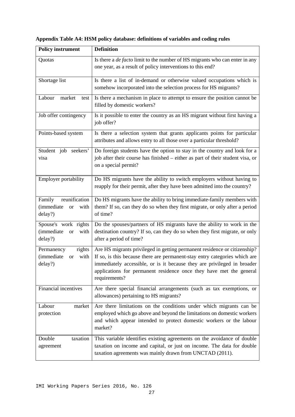| <b>Policy instrument</b>                                                   | <b>Definition</b>                                                                                                                                                                                                                                                                                                          |
|----------------------------------------------------------------------------|----------------------------------------------------------------------------------------------------------------------------------------------------------------------------------------------------------------------------------------------------------------------------------------------------------------------------|
| Quotas                                                                     | Is there a <i>de facto</i> limit to the number of HS migrants who can enter in any<br>one year, as a result of policy interventions to this end?                                                                                                                                                                           |
| Shortage list                                                              | Is there a list of in-demand or otherwise valued occupations which is<br>somehow incorporated into the selection process for HS migrants?                                                                                                                                                                                  |
| Labour<br>market<br>test                                                   | Is there a mechanism in place to attempt to ensure the position cannot be<br>filled by domestic workers?                                                                                                                                                                                                                   |
| Job offer contingency                                                      | Is it possible to enter the country as an HS migrant without first having a<br>job offer?                                                                                                                                                                                                                                  |
| Points-based system                                                        | Is there a selection system that grants applicants points for particular<br>attributes and allows entry to all those over a particular threshold?                                                                                                                                                                          |
| Student job seekers'<br>visa                                               | Do foreign students have the option to stay in the country and look for a<br>job after their course has finished – either as part of their student visa, or<br>on a special permit?                                                                                                                                        |
| <b>Employer portability</b>                                                | Do HS migrants have the ability to switch employers without having to<br>reapply for their permit, after they have been admitted into the country?                                                                                                                                                                         |
| Family<br>reunification<br>(immediate<br>with<br><b>or</b><br>delay?)      | Do HS migrants have the ability to bring immediate-family members with<br>them? If so, can they do so when they first migrate, or only after a period<br>of time?                                                                                                                                                          |
| Spouse's work rights<br><i>(immediate)</i><br>with<br><b>or</b><br>delay?) | Do the spouses/partners of HS migrants have the ability to work in the<br>destination country? If so, can they do so when they first migrate, or only<br>after a period of time?                                                                                                                                           |
| Permanency<br>rights<br><i>(immediate)</i><br>with<br><b>or</b><br>delay?) | Are HS migrants privileged in getting permanent residence or citizenship?<br>If so, is this because there are permanent-stay entry categories which are<br>immediately accessible, or is it because they are privileged in broader<br>applications for permanent residence once they have met the general<br>requirements? |
| Financial incentives                                                       | Are there special financial arrangements (such as tax exemptions, or<br>allowances) pertaining to HS migrants?                                                                                                                                                                                                             |
| Labour<br>market<br>protection                                             | Are there limitations on the conditions under which migrants can be<br>employed which go above and beyond the limitations on domestic workers<br>and which appear intended to protect domestic workers or the labour<br>market?                                                                                            |
| Double<br>taxation<br>agreement                                            | This variable identifies existing agreements on the avoidance of double<br>taxation on income and capital, or just on income. The data for double<br>taxation agreements was mainly drawn from UNCTAD (2011).                                                                                                              |

| Appendix Table A4: HSM policy database: definitions of variables and coding rules |
|-----------------------------------------------------------------------------------|
|-----------------------------------------------------------------------------------|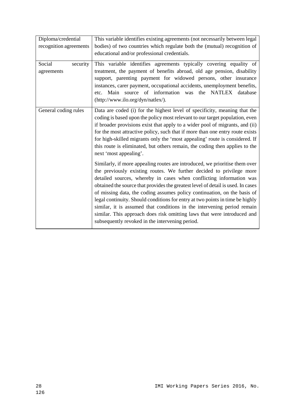| Diploma/credential<br>recognition agreements | This variable identifies existing agreements (not necessarily between legal<br>bodies) of two countries which regulate both the (mutual) recognition of<br>educational and/or professional credentials.                                                                                                                                                                                                                                                                                                                                                                                                                                                                              |
|----------------------------------------------|--------------------------------------------------------------------------------------------------------------------------------------------------------------------------------------------------------------------------------------------------------------------------------------------------------------------------------------------------------------------------------------------------------------------------------------------------------------------------------------------------------------------------------------------------------------------------------------------------------------------------------------------------------------------------------------|
| Social<br>security<br>agreements             | This variable identifies agreements typically covering equality of<br>treatment, the payment of benefits abroad, old age pension, disability<br>support, parenting payment for widowed persons, other insurance<br>instances, carer payment, occupational accidents, unemployment benefits,<br>etc. Main source of information was<br>the NATLEX<br>database<br>(http://www.ilo.org/dyn/natlex/).                                                                                                                                                                                                                                                                                    |
| General coding rules                         | Data are coded (i) for the highest level of specificity, meaning that the<br>coding is based upon the policy most relevant to our target population, even<br>if broader provisions exist that apply to a wider pool of migrants, and (ii)<br>for the most attractive policy, such that if more than one entry route exists<br>for high-skilled migrants only the 'most appealing' route is considered. If<br>this route is eliminated, but others remain, the coding then applies to the<br>next 'most appealing'.                                                                                                                                                                   |
|                                              | Similarly, if more appealing routes are introduced, we prioritise them over<br>the previously existing routes. We further decided to privilege more<br>detailed sources, whereby in cases when conflicting information was<br>obtained the source that provides the greatest level of detail is used. In cases<br>of missing data, the coding assumes policy continuation, on the basis of<br>legal continuity. Should conditions for entry at two points in time be highly<br>similar, it is assumed that conditions in the intervening period remain<br>similar. This approach does risk omitting laws that were introduced and<br>subsequently revoked in the intervening period. |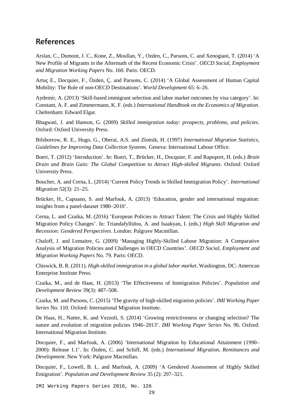### **References**

Arslan, C., Dumont, J. C., Kone, Z., Moullan, Y., Ozden, C., Parsons, C. and Xenogiani, T. (2014) 'A New Profile of Migrants in the Aftermath of the Recent Economic Crisis'. *OECD Social, Employment and Migration Working Papers* No. 160. Paris: OECD.

Artuç E., Docquier, F., Özden, Ç. and Parsons, C. (2014) 'A Global Assessment of Human Capital Mobility: The Role of non-OECD Destinations'. *World Development* 65: 6–26.

Aydemir, A. (2013) 'Skill-based immigrant selection and labor market outcomes by visa category'. In: Constant, A. F. and Zimmermann, K. F. (eds.) *International Handbook on the Economics of Migration*. Cheltenham: Edward Elgar.

Bhagwati, J. and Hanson, G. (2009) *Skilled immigration today: prospects, problems, and policies*. Oxford: Oxford University Press.

Bilsborrow, R. E., Hugo, G., Oberai, A.S. and Zlotnik, H. (1997) *International Migration Statistics, Guidelines for Improving Data Collection Systems*. Geneva: International Labour Office.

Boeri, T. (2012) 'Introduction'. In: Boeri, T., Brücker, H., Docquier, F. and Rapoport, H. (eds.) *Brain Drain and Brain Gain: The Global Competition to Attract High-skilled Migrants*. Oxford: Oxford University Press.

Boucher, A. and Cerna, L. (2014) 'Current Policy Trends in Skilled Immigration Policy'. *International Migration* 52(3): 21–25.

Brücker, H., Capuano, S. and Marfouk, A. (2013) 'Education, gender and international migration: insights from a panel-dataset 1980–2010'.

Cerna, L. and Czaika, M. (2016) 'European Policies to Attract Talent: The Crisis and Highly Skilled Migration Policy Changes'. In: Triandafyllidou, A. and Isaakyan, I. (eds.) *High Skill Migration and Recession: Gendered Perspectives*. London: Palgrave Macmillan.

Chaloff, J. and Lemaitre, G. (2009) 'Managing Highly-Skilled Labour Migration: A Comparative Analysis of Migration Policies and Challenges in OECD Countries'. *OECD Social, Employment and Migration Working Papers* No. 79. Paris: OECD.

Chiswick, B. R. (2011). *High-skilled immigration in a global labor market*. Washington, DC: American Enterprise Institute Press.

Czaika, M., and de Haas, H. (2013) 'The Effectiveness of Immigration Policies'. *Population and Development Review* 39(3): 487–508.

Czaika, M. and Parsons, C. (2015) 'The gravity of high-skilled migration policies'. *IMI Working Paper Series* No. 110. Oxford: International Migration Institute.

De Haas, H., Natter, K. and Vezzoli, S. (2014) 'Growing restrictiveness or changing selection? The nature and evolution of migration policies 1946–2013'. *IMI Working Paper Series* No. 96. Oxford: International Migration Institute.

Docquier, F., and Marfouk, A. (2006) 'International Migration by Educational Attainment (1990– 2000): Release 1.1'. In: Özden, C. and Schiff, M. (eds.) *International Migration, Remittances and Development*. New York: Palgrave Macmillan.

Docquier, F., Lowell, B. L. and Marfouk, A. (2009) 'A Gendered Assessment of Highly Skilled Emigration'. *Population and Development Review* 35 (2): 297–321.

IMI Working Papers Series 2016, No. 126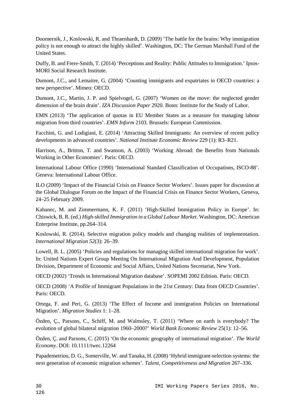Doomernik, J., Koslowski, R. and Thraenhardt, D. (2009) 'The battle for the brains: Why immigration policy is not enough to attract the highly skilled'. Washington, DC: The German Marshall Fund of the United States.

Duffy, B. and Frere-Smith, T. (2014) 'Perceptions and Reality: Public Attitudes to Immigration.' Ipsos-MORI Social Research Institute.

Dumont, J.C., and Lemaitre, G. (2004) 'Counting immigrants and expatriates in OECD countries: a new perspective'. Mimeo: OECD.

Dumont, J.C., Martin, J. P. and Spielvogel, G. (2007) 'Women on the move: the neglected gender dimension of the brain drain'. *IZA Discussion Paper* 2920. Bonn: Institute for the Study of Labor.

EMN (2013) 'The application of quotas in EU Member States as a measure for managing labour migration from third countries'. *EMN Inform* 2103. Brussels: European Commission.

Facchini, G. and Lodigiani, E. (2014) 'Attracting Skilled Immigrants: An overview of recent policy developments in advanced countries'. *National Institute Economic Review* 229 (1): R3–R21.

Harrison, A., Britton, T. and Swanson, A. (2003) 'Working Abroad: the Benefits from Nationals Working in Other Economies'. Paris: OECD.

International Labour Office (1990) 'International Standard Classification of Occupations, ISCO-88'. Geneva: International Labour Office.

ILO (2009) 'Impact of the Financial Crisis on Finance Sector Workers'. Issues paper for discussion at the Global Dialogue Forum on the Impact of the Financial Crisis on Finance Sector Workers, Geneva, 24–25 February 2009.

Kahanec, M. and Zimmermann, K. F. (2011) 'High-Skilled Immigration Policy in Europe'. In: Chiswick, B. R. (ed.) *High-skilled Immigration in a Global Labour Market*. Washington, DC: American Enterprise Institute, pp.264–314.

Koslowski, R. (2014). Selective migration policy models and changing realities of implementation. *International Migration 52*(3): 26–39.

Lowell, B. L. (2005) 'Policies and regulations for managing skilled international migration for work'. In: United Nations Expert Group Meeting On International Migration And Development, Population Division, Department of Economic and Social Affairs, United Nations Secretariat, New York.

OECD (2002) 'Trends in International Migration database'. SOPEMI 2002 Edition. Paris: OECD.

OECD (2008) 'A Profile of Immigrant Populations in the 21st Century: Data from OECD Countries'. Paris: OECD.

Ortega, F. and Peri, G. (2013) 'The Effect of Income and immigration Policies on International Migration'. *Migration Studies* 1: 1–28.

Özden, Ç., Parsons, C., Schiff, M. and Walmsley, T. (2011) 'Where on earth is everybody? The evolution of global bilateral migration 1960–2000?' *World Bank Economic Review* 25(1): 12–56.

Özden, Ç. and Parsons, C. (2015) 'On the economic geography of international migration'. *The World Economy*. DOI: 10.1111/twec.12264

Papademetriou, D. G., Somerville, W. and Tanaka, H. (2008) 'Hybrid immigrant-selection systems: the next generation of economic migration schemes'. *Talent, Competitiveness and Migration* 267–336.